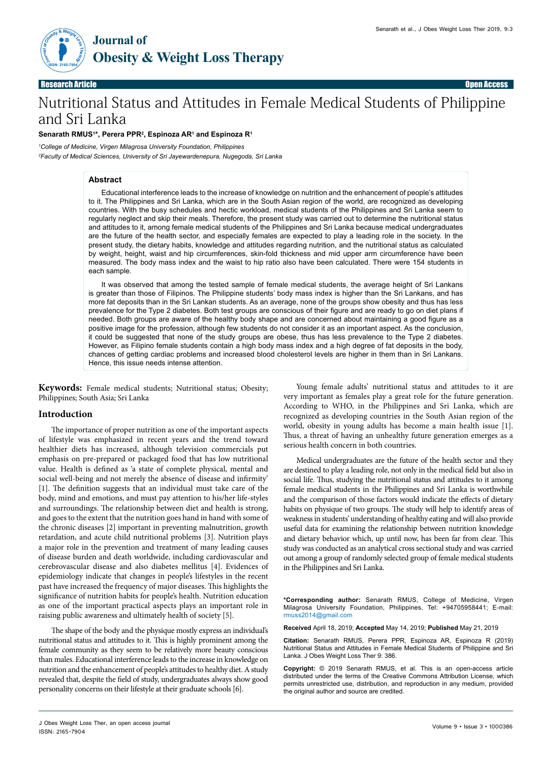

Research Article Open Access

# Nutritional Status and Attitudes in Female Medical Students of Philippine and Sri Lanka

#### **Senarath RMUS1 \*, Perera PPR2 , Espinoza AR1 and Espinoza R1**

*1 College of Medicine, Virgen Milagrosa University Foundation, Philippines 2 Faculty of Medical Sciences, University of Sri Jayewardenepura, Nugegoda, Sri Lanka* 

# **Abstract**

Educational interference leads to the increase of knowledge on nutrition and the enhancement of people's attitudes to it. The Philippines and Sri Lanka, which are in the South Asian region of the world, are recognized as developing countries. With the busy schedules and hectic workload, medical students of the Philippines and Sri Lanka seem to regularly neglect and skip their meals. Therefore, the present study was carried out to determine the nutritional status and attitudes to it, among female medical students of the Philippines and Sri Lanka because medical undergraduates are the future of the health sector, and especially females are expected to play a leading role in the society. In the present study, the dietary habits, knowledge and attitudes regarding nutrition, and the nutritional status as calculated by weight, height, waist and hip circumferences, skin-fold thickness and mid upper arm circumference have been measured. The body mass index and the waist to hip ratio also have been calculated. There were 154 students in each sample.

It was observed that among the tested sample of female medical students, the average height of Sri Lankans is greater than those of Filipinos. The Philippine students' body mass index is higher than the Sri Lankans, and has more fat deposits than in the Sri Lankan students. As an average, none of the groups show obesity and thus has less prevalence for the Type 2 diabetes. Both test groups are conscious of their figure and are ready to go on diet plans if needed. Both groups are aware of the healthy body shape and are concerned about maintaining a good figure as a positive image for the profession, although few students do not consider it as an important aspect. As the conclusion, it could be suggested that none of the study groups are obese, thus has less prevalence to the Type 2 diabetes. However, as Filipino female students contain a high body mass index and a high degree of fat deposits in the body, chances of getting cardiac problems and increased blood cholesterol levels are higher in them than in Sri Lankans. Hence, this issue needs intense attention.

**Keywords:** Female medical students; Nutritional status; Obesity; Philippines; South Asia; Sri Lanka

## **Introduction**

The importance of proper nutrition as one of the important aspects of lifestyle was emphasized in recent years and the trend toward healthier diets has increased, although television commercials put emphasis on pre-prepared or packaged food that has low nutritional value. Health is defined as 'a state of complete physical, mental and social well-being and not merely the absence of disease and infirmity' [1]. The definition suggests that an individual must take care of the body, mind and emotions, and must pay attention to his/her life-styles and surroundings. The relationship between diet and health is strong, and goes to the extent that the nutrition goes hand in hand with some of the chronic diseases [2] important in preventing malnutrition, growth retardation, and acute child nutritional problems [3]. Nutrition plays a major role in the prevention and treatment of many leading causes of disease burden and death worldwide, including cardiovascular and cerebrovascular disease and also diabetes mellitus [4]. Evidences of epidemiology indicate that changes in people's lifestyles in the recent past have increased the frequency of major diseases. This highlights the significance of nutrition habits for people's health. Nutrition education as one of the important practical aspects plays an important role in raising public awareness and ultimately health of society [5].

The shape of the body and the physique mostly express an individual's nutritional status and attitudes to it. This is highly prominent among the female community as they seem to be relatively more beauty conscious than males. Educational interference leads to the increase in knowledge on nutrition and the enhancement of people's attitudes to healthy diet. A study revealed that, despite the field of study, undergraduates always show good personality concerns on their lifestyle at their graduate schools [6].

Young female adults' nutritional status and attitudes to it are very important as females play a great role for the future generation. According to WHO, in the Philippines and Sri Lanka, which are recognized as developing countries in the South Asian region of the world, obesity in young adults has become a main health issue [1]. Thus, a threat of having an unhealthy future generation emerges as a serious health concern in both countries.

Medical undergraduates are the future of the health sector and they are destined to play a leading role, not only in the medical field but also in social life. Thus, studying the nutritional status and attitudes to it among female medical students in the Philippines and Sri Lanka is worthwhile and the comparison of those factors would indicate the effects of dietary habits on physique of two groups. The study will help to identify areas of weakness in students' understanding of healthy eating and will also provide useful data for examining the relationship between nutrition knowledge and dietary behavior which, up until now, has been far from clear. This study was conducted as an analytical cross sectional study and was carried out among a group of randomly selected group of female medical students in the Philippines and Sri Lanka.

**\*Corresponding author:** Senarath RMUS, College of Medicine, Virgen Milagrosa University Foundation, Philippines, Tel: +94705958441; E-mail: rmuss2014@gmail.com

**Received** April 18, 2019; **Accepted** May 14, 2019; **Published** May 21, 2019

**Citation:** Senarath RMUS, Perera PPR, Espinoza AR, Espinoza R (2019) Nutritional Status and Attitudes in Female Medical Students of Philippine and Sri Lanka. J Obes Weight Loss Ther 9: 386.

**Copyright:** © 2019 Senarath RMUS, et al. This is an open-access article distributed under the terms of the Creative Commons Attribution License, which permits unrestricted use, distribution, and reproduction in any medium, provided the original author and source are credited.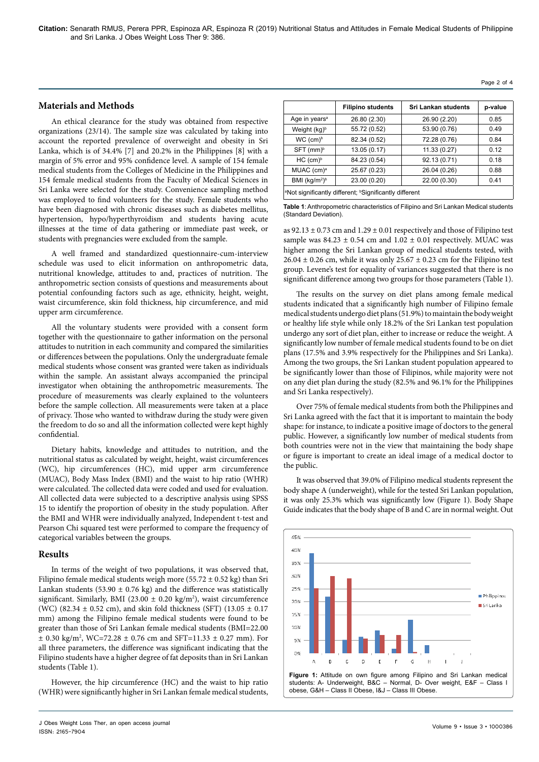#### **Materials and Methods**

An ethical clearance for the study was obtained from respective organizations (23/14). The sample size was calculated by taking into account the reported prevalence of overweight and obesity in Sri Lanka, which is of 34.4% [7] and 20.2% in the Philippines [8] with a margin of 5% error and 95% confidence level. A sample of 154 female medical students from the Colleges of Medicine in the Philippines and 154 female medical students from the Faculty of Medical Sciences in Sri Lanka were selected for the study. Convenience sampling method was employed to find volunteers for the study. Female students who have been diagnosed with chronic diseases such as diabetes mellitus, hypertension, hypo/hyperthyroidism and students having acute illnesses at the time of data gathering or immediate past week, or students with pregnancies were excluded from the sample.

A well framed and standardized questionnaire-cum-interview schedule was used to elicit information on anthropometric data, nutritional knowledge, attitudes to and, practices of nutrition. The anthropometric section consists of questions and measurements about potential confounding factors such as age, ethnicity, height, weight, waist circumference, skin fold thickness, hip circumference, and mid upper arm circumference.

All the voluntary students were provided with a consent form together with the questionnaire to gather information on the personal attitudes to nutrition in each community and compared the similarities or differences between the populations. Only the undergraduate female medical students whose consent was granted were taken as individuals within the sample. An assistant always accompanied the principal investigator when obtaining the anthropometric measurements. The procedure of measurements was clearly explained to the volunteers before the sample collection. All measurements were taken at a place of privacy. Those who wanted to withdraw during the study were given the freedom to do so and all the information collected were kept highly confidential.

Dietary habits, knowledge and attitudes to nutrition, and the nutritional status as calculated by weight, height, waist circumferences (WC), hip circumferences (HC), mid upper arm circumference (MUAC), Body Mass Index (BMI) and the waist to hip ratio (WHR) were calculated. The collected data were coded and used for evaluation. All collected data were subjected to a descriptive analysis using SPSS 15 to identify the proportion of obesity in the study population. After the BMI and WHR were individually analyzed, Independent t-test and Pearson Chi squared test were performed to compare the frequency of categorical variables between the groups.

#### **Results**

In terms of the weight of two populations, it was observed that, Filipino female medical students weigh more (55.72  $\pm$  0.52 kg) than Sri Lankan students (53.90  $\pm$  0.76 kg) and the difference was statistically significant. Similarly, BMI (23.00  $\pm$  0.20 kg/m<sup>2</sup>), waist circumference (WC) (82.34 ± 0.52 cm), and skin fold thickness (SFT) (13.05 ± 0.17 mm) among the Filipino female medical students were found to be greater than those of Sri Lankan female medical students (BMI=22.00 ± 0.30 kg/m2 , WC=72.28 ± 0.76 cm and SFT=11.33 ± 0.27 mm). For all three parameters, the difference was significant indicating that the Filipino students have a higher degree of fat deposits than in Sri Lankan students (Table 1).

However, the hip circumference (HC) and the waist to hip ratio (WHR) were significantly higher in Sri Lankan female medical students,

|                                                                                | <b>Filipino students</b> | <b>Sri Lankan students</b> | p-value |
|--------------------------------------------------------------------------------|--------------------------|----------------------------|---------|
| Age in years <sup>a</sup>                                                      | 26.80 (2.30)             | 26.90 (2.20)               | 0.85    |
| Weight (kg) <sup>b</sup>                                                       | 55.72 (0.52)             | 53.90 (0.76)               | 0.49    |
| $WC$ (cm) <sup>b</sup>                                                         | 82.34 (0.52)             | 72.28 (0.76)               | 0.84    |
| $SFT$ (mm) <sup>b</sup>                                                        | 13.05(0.17)              | 11.33 (0.27)               | 0.12    |
| HC (cm) <sup>b</sup>                                                           | 84.23 (0.54)             | 92.13 (0.71)               | 0.18    |
| MUAC (cm) <sup>a</sup>                                                         | 25.67 (0.23)             | 26.04 (0.26)               | 0.88    |
| BMI $(kg/m2)b$                                                                 | 23.00 (0.20)             | 22.00 (0.30)               | 0.41    |
| <sup>1</sup> Not significantly different; <sup>b</sup> Significantly different |                          |                            |         |

**Table 1**: Anthropometric characteristics of Filipino and Sri Lankan Medical students (Standard Deviation).

as  $92.13 \pm 0.73$  cm and  $1.29 \pm 0.01$  respectively and those of Filipino test sample was  $84.23 \pm 0.54$  cm and  $1.02 \pm 0.01$  respectively. MUAC was higher among the Sri Lankan group of medical students tested, with  $26.04 \pm 0.26$  cm, while it was only  $25.67 \pm 0.23$  cm for the Filipino test group. Levene's test for equality of variances suggested that there is no significant difference among two groups for those parameters (Table 1).

The results on the survey on diet plans among female medical students indicated that a significantly high number of Filipino female medical students undergo diet plans (51.9%) to maintain the body weight or healthy life style while only 18.2% of the Sri Lankan test population undergo any sort of diet plan, either to increase or reduce the weight. A significantly low number of female medical students found to be on diet plans (17.5% and 3.9% respectively for the Philippines and Sri Lanka). Among the two groups, the Sri Lankan student population appeared to be significantly lower than those of Filipinos, while majority were not on any diet plan during the study (82.5% and 96.1% for the Philippines and Sri Lanka respectively).

Over 75% of female medical students from both the Philippines and Sri Lanka agreed with the fact that it is important to maintain the body shape: for instance, to indicate a positive image of doctors to the general public. However, a significantly low number of medical students from both countries were not in the view that maintaining the body shape or figure is important to create an ideal image of a medical doctor to the public.

It was observed that 39.0% of Filipino medical students represent the body shape A (underweight), while for the tested Sri Lankan population, it was only 25.3% which was significantly low (Figure 1). Body Shape Guide indicates that the body shape of B and C are in normal weight. Out

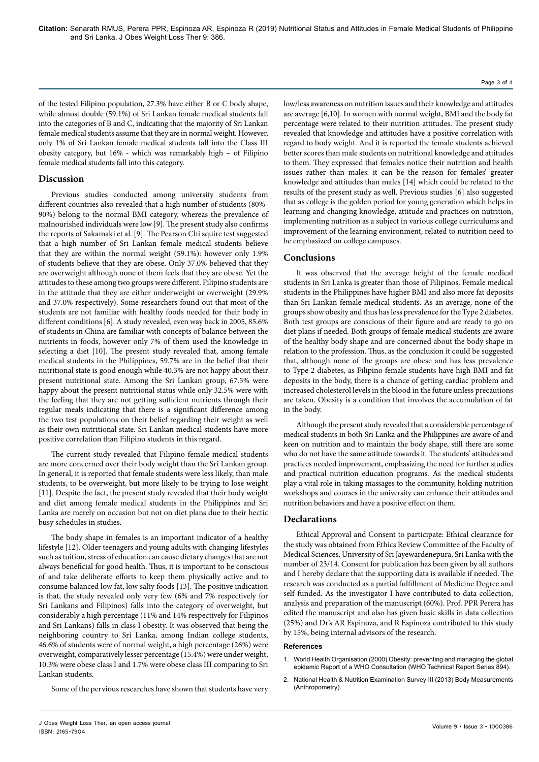of the tested Filipino population, 27.3% have either B or C body shape, while almost double (59.1%) of Sri Lankan female medical students fall into the categories of B and C, indicating that the majority of Sri Lankan female medical students assume that they are in normal weight. However, only 1% of Sri Lankan female medical students fall into the Class III obesity category, but 16% - which was remarkably high – of Filipino female medical students fall into this category.

# **Discussion**

Previous studies conducted among university students from different countries also revealed that a high number of students (80%- 90%) belong to the normal BMI category, whereas the prevalence of malnourished individuals were low [9]. The present study also confirms the reports of Sakamaki et al. [9]. The Pearson Chi squire test suggested that a high number of Sri Lankan female medical students believe that they are within the normal weight (59.1%): however only 1.9% of students believe that they are obese. Only 37.0% believed that they are overweight although none of them feels that they are obese. Yet the attitudes to these among two groups were different. Filipino students are in the attitude that they are either underweight or overweight (29.9% and 37.0% respectively). Some researchers found out that most of the students are not familiar with healthy foods needed for their body in different conditions [6]. A study revealed, even way back in 2005, 85.6% of students in China are familiar with concepts of balance between the nutrients in foods, however only 7% of them used the knowledge in selecting a diet [10]. The present study revealed that, among female medical students in the Philippines, 59.7% are in the belief that their nutritional state is good enough while 40.3% are not happy about their present nutritional state. Among the Sri Lankan group, 67.5% were happy about the present nutritional status while only 32.5% were with the feeling that they are not getting sufficient nutrients through their regular meals indicating that there is a significant difference among the two test populations on their belief regarding their weight as well as their own nutritional state. Sri Lankan medical students have more positive correlation than Filipino students in this regard.

The current study revealed that Filipino female medical students are more concerned over their body weight than the Sri Lankan group. In general, it is reported that female students were less likely, than male students, to be overweight, but more likely to be trying to lose weight [11]. Despite the fact, the present study revealed that their body weight and diet among female medical students in the Philippines and Sri Lanka are merely on occasion but not on diet plans due to their hectic busy schedules in studies.

The body shape in females is an important indicator of a healthy lifestyle [12]. Older teenagers and young adults with changing lifestyles such as tuition, stress of education can cause dietary changes that are not always beneficial for good health. Thus, it is important to be conscious of and take deliberate efforts to keep them physically active and to consume balanced low fat, low salty foods [13]. The positive indication is that, the study revealed only very few (6% and 7% respectively for Sri Lankans and Filipinos) falls into the category of overweight, but considerably a high percentage (11% and 14% respectively for Filipinos and Sri Lankans) falls in class I obesity. It was observed that being the neighboring country to Sri Lanka, among Indian college students, 46.6% of students were of normal weight, a high percentage (26%) were overweight, comparatively lesser percentage (15.4%) were under weight, 10.3% were obese class I and 1.7% were obese class III comparing to Sri Lankan students.

Some of the pervious researches have shown that students have very

low/less awareness on nutrition issues and their knowledge and attitudes are average [6,10]. In women with normal weight, BMI and the body fat percentage were related to their nutrition attitudes. The present study revealed that knowledge and attitudes have a positive correlation with regard to body weight. And it is reported the female students achieved better scores than male students on nutritional knowledge and attitudes to them. They expressed that females notice their nutrition and health issues rather than males: it can be the reason for females' greater knowledge and attitudes than males [14] which could be related to the results of the present study as well. Previous studies [6] also suggested that as college is the golden period for young generation which helps in learning and changing knowledge, attitude and practices on nutrition, implementing nutrition as a subject in various college curriculums and improvement of the learning environment, related to nutrition need to be emphasized on college campuses.

## **Conclusions**

It was observed that the average height of the female medical students in Sri Lanka is greater than those of Filipinos. Female medical students in the Philippines have higher BMI and also more fat deposits than Sri Lankan female medical students. As an average, none of the groups show obesity and thus has less prevalence for the Type 2 diabetes. Both test groups are conscious of their figure and are ready to go on diet plans if needed. Both groups of female medical students are aware of the healthy body shape and are concerned about the body shape in relation to the profession. Thus, as the conclusion it could be suggested that, although none of the groups are obese and has less prevalence to Type 2 diabetes, as Filipino female students have high BMI and fat deposits in the body, there is a chance of getting cardiac problem and increased cholesterol levels in the blood in the future unless precautions are taken. Obesity is a condition that involves the accumulation of fat in the body.

Although the present study revealed that a considerable percentage of medical students in both Sri Lanka and the Philippines are aware of and keen on nutrition and to maintain the body shape, still there are some who do not have the same attitude towards it. The students' attitudes and practices needed improvement, emphasizing the need for further studies and practical nutrition education programs. As the medical students play a vital role in taking massages to the community, holding nutrition workshops and courses in the university can enhance their attitudes and nutrition behaviors and have a positive effect on them.

## **Declarations**

Ethical Approval and Consent to participate: Ethical clearance for the study was obtained from Ethics Review Committee of the Faculty of Medical Sciences, University of Sri Jayewardenepura, Sri Lanka with the number of 23/14. Consent for publication has been given by all authors and I hereby declare that the supporting data is available if needed. The research was conducted as a partial fulfillment of Medicine Degree and self-funded. As the investigator I have contributed to data collection, analysis and preparation of the manuscript (60%). Prof. PPR Perera has edited the manuscript and also has given basic skills in data collection (25%) and Dr's AR Espinoza, and R Espinoza contributed to this study by 15%, being internal advisors of the research.

#### **References**

- 1. [World Health Organisation \(2000\) Obesity: preventing and managing the global](https://www.who.int/nutrition/publications/obesity/WHO_TRS_894/en/)  [epidemic Report of a WHO Consultation \(WHO Technical Report Series 894\).](https://www.who.int/nutrition/publications/obesity/WHO_TRS_894/en/)
- 2. [National Health & Nutrition Examination Survey III \(2013\) Body Measurements](https://wwwn.cdc.gov/nchs/data/nhanes3/manuals/anthro.pdf)  [\(Anthropometry\).](https://wwwn.cdc.gov/nchs/data/nhanes3/manuals/anthro.pdf)